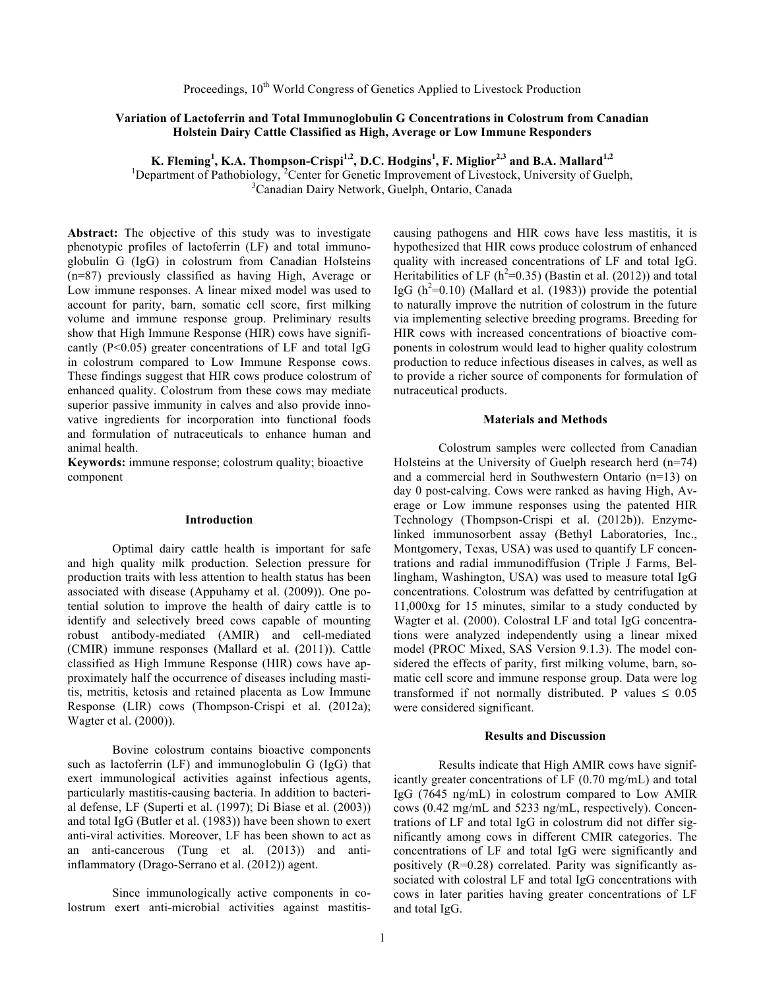# **Variation of Lactoferrin and Total Immunoglobulin G Concentrations in Colostrum from Canadian Holstein Dairy Cattle Classified as High, Average or Low Immune Responders**

**K. Fleming<sup>1</sup> , K.A. Thompson-Crispi1,2 , D.C. Hodgins<sup>1</sup> , F. Miglior2,3 and B.A. Mallard1,2**

<sup>1</sup>Department of Pathobiology,<sup>2</sup>Center for Genetic Improvement of Livestock, University of Guelph, <sup>3</sup>Canadian Dairy Network, Guelph, Ontario, Canada

**Abstract:** The objective of this study was to investigate phenotypic profiles of lactoferrin (LF) and total immunoglobulin G (IgG) in colostrum from Canadian Holsteins (n=87) previously classified as having High, Average or Low immune responses. A linear mixed model was used to account for parity, barn, somatic cell score, first milking volume and immune response group. Preliminary results show that High Immune Response (HIR) cows have significantly  $(P<0.05)$  greater concentrations of LF and total IgG in colostrum compared to Low Immune Response cows. These findings suggest that HIR cows produce colostrum of enhanced quality. Colostrum from these cows may mediate superior passive immunity in calves and also provide innovative ingredients for incorporation into functional foods and formulation of nutraceuticals to enhance human and animal health.

**Keywords:** immune response; colostrum quality; bioactive component

#### **Introduction**

Optimal dairy cattle health is important for safe and high quality milk production. Selection pressure for production traits with less attention to health status has been associated with disease (Appuhamy et al. (2009)). One potential solution to improve the health of dairy cattle is to identify and selectively breed cows capable of mounting robust antibody-mediated (AMIR) and cell-mediated (CMIR) immune responses (Mallard et al. (2011)). Cattle classified as High Immune Response (HIR) cows have approximately half the occurrence of diseases including mastitis, metritis, ketosis and retained placenta as Low Immune Response (LIR) cows (Thompson-Crispi et al. (2012a); Wagter et al. (2000)).

Bovine colostrum contains bioactive components such as lactoferrin (LF) and immunoglobulin G (IgG) that exert immunological activities against infectious agents, particularly mastitis-causing bacteria. In addition to bacterial defense, LF (Superti et al. (1997); Di Biase et al. (2003)) and total IgG (Butler et al. (1983)) have been shown to exert anti-viral activities. Moreover, LF has been shown to act as an anti-cancerous (Tung et al. (2013)) and antiinflammatory (Drago-Serrano et al. (2012)) agent.

Since immunologically active components in colostrum exert anti-microbial activities against mastitiscausing pathogens and HIR cows have less mastitis, it is hypothesized that HIR cows produce colostrum of enhanced quality with increased concentrations of LF and total IgG. Heritabilities of LF ( $h^2$ =0.35) (Bastin et al. (2012)) and total IgG  $(h^2=0.10)$  (Mallard et al. (1983)) provide the potential to naturally improve the nutrition of colostrum in the future via implementing selective breeding programs. Breeding for HIR cows with increased concentrations of bioactive components in colostrum would lead to higher quality colostrum production to reduce infectious diseases in calves, as well as to provide a richer source of components for formulation of nutraceutical products.

# **Materials and Methods**

Colostrum samples were collected from Canadian Holsteins at the University of Guelph research herd (n=74) and a commercial herd in Southwestern Ontario (n=13) on day 0 post-calving. Cows were ranked as having High, Average or Low immune responses using the patented HIR Technology (Thompson-Crispi et al. (2012b)). Enzymelinked immunosorbent assay (Bethyl Laboratories, Inc., Montgomery, Texas, USA) was used to quantify LF concentrations and radial immunodiffusion (Triple J Farms, Bellingham, Washington, USA) was used to measure total IgG concentrations. Colostrum was defatted by centrifugation at 11,000xg for 15 minutes, similar to a study conducted by Wagter et al. (2000). Colostral LF and total IgG concentrations were analyzed independently using a linear mixed model (PROC Mixed, SAS Version 9.1.3). The model considered the effects of parity, first milking volume, barn, somatic cell score and immune response group. Data were log transformed if not normally distributed. P values  $\leq 0.05$ were considered significant.

## **Results and Discussion**

Results indicate that High AMIR cows have significantly greater concentrations of LF (0.70 mg/mL) and total IgG (7645 ng/mL) in colostrum compared to Low AMIR cows (0.42 mg/mL and 5233 ng/mL, respectively). Concentrations of LF and total IgG in colostrum did not differ significantly among cows in different CMIR categories. The concentrations of LF and total IgG were significantly and positively (R=0.28) correlated. Parity was significantly associated with colostral LF and total IgG concentrations with cows in later parities having greater concentrations of LF and total IgG.